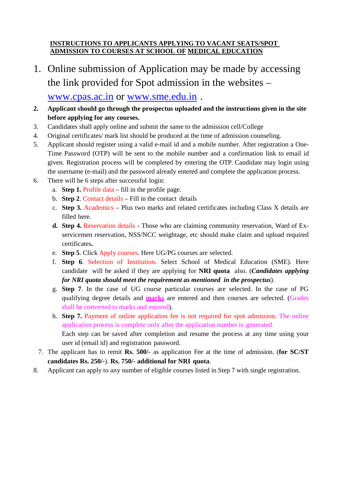## **INSTRUCTIONS TO APPLICANTS APPLYING TO VACANT SEATS/SPOT ADMISSION TO COURSES AT SCHOOL OF MEDICAL EDUCATION**

- 1. Online submission of Application may be made by accessing the link provided for Spot admission in the websites – www.cpas.ac.in or www.sme.edu.in .
- **2. Applicant should go through the prospectus uploaded and the instructions given in the site before applying for any courses.**
- 3. Candidates shall apply online and submit the same to the admission cell/College
- 4. Original certificates/ mark list should be produced at the time of admission counseling.
- 5. Applicant should register using a valid e-mail id and a mobile number. After registration a One-Time Password (OTP) will be sent to the mobile number and a confirmation link to email id given. Registration process will be completed by entering the OTP. Candidate may login using the username (e-mail) and the password already entered and complete the application process.
- 6. There will be 6 steps after successful login:
	- a. **Step 1.** Profile data fill in the profile page.
	- b. **Step 2**. Contact details Fill in the contact details
	- c. **Step 3.** Academics Plus two marks and related certificates including Class X details are filled here.
	- **d. Step 4.** Reservation details Those who are claiming community reservation, Ward of Exservicemen reservation, NSS/NCC weightage, etc should make claim and upload required certificates**.**
	- e. **Step 5**. Click Apply courses. Here UG/PG courses are selected.
	- f. **Step 6**. Selection of Institution. Select School of Medical Education (SME). Here candidate will be asked if they are applying for **NRI quota** also. (*Candidates applying for NRI quota should meet the requirement as mentioned in the prospectus*).
	- g. **Step 7**. In the case of UG course particular courses are selected. In the case of PG qualifying degree details and **marks** are entered and then courses are selected. (Grades shall be converted to marks and entered).
	- h. **Step 7.** Payment of online application fee is not required for spot admission. The online application process is complete only after the application number is generated. Each step can be saved after completion and resume the process at any time using your user id (email id) and registration password.
	- 7. The applicant has to remit **Rs. 500/-** as application Fee at the time of admission. (**for SC/ST candidates Rs. 250/-**). **Rs. 750/- additional for NRI quota**.
- 8. Applicant can apply to any number of eligible courses listed in Step 7 with single registration.